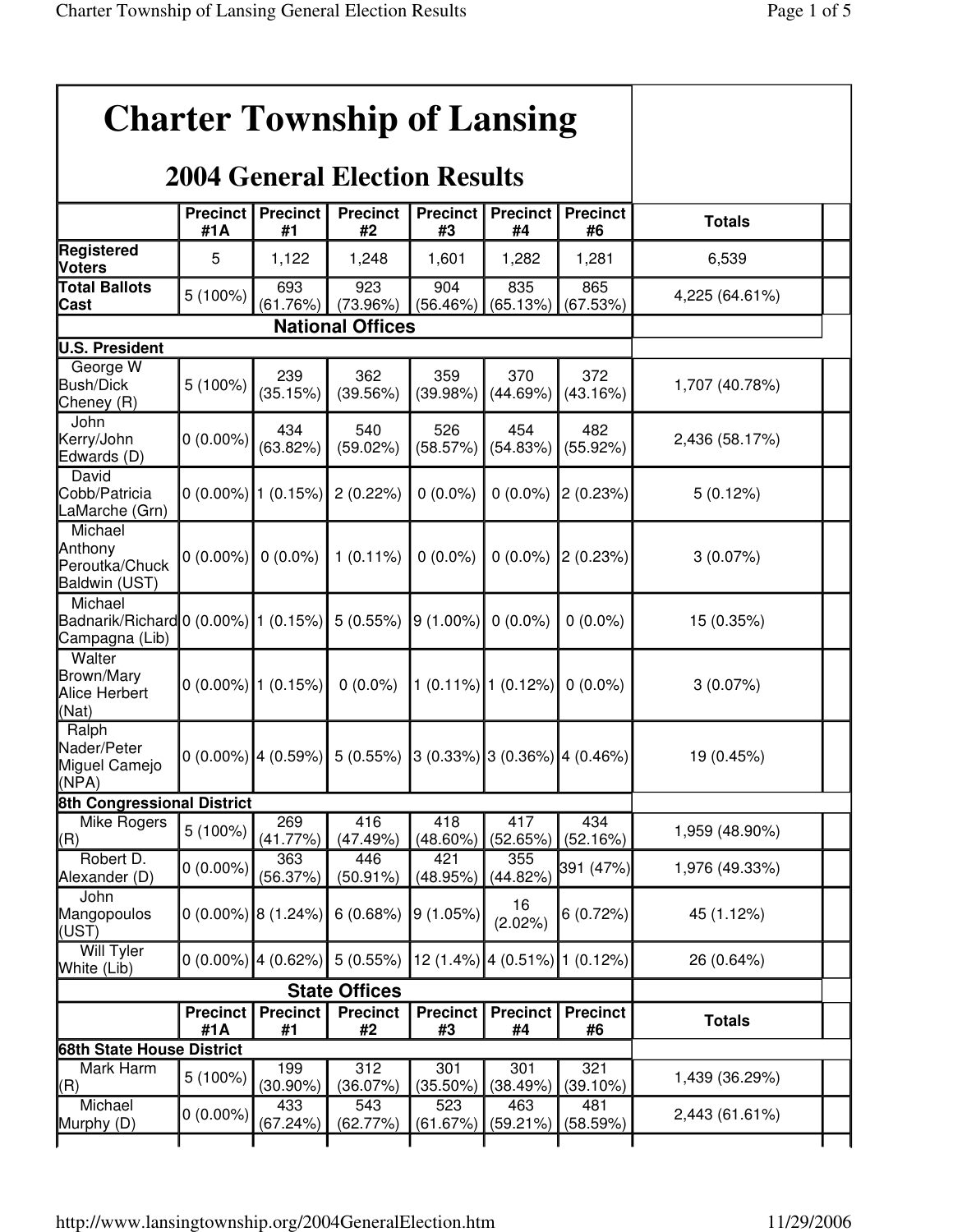|                                                                             |                        |                          | <b>Charter Township of Lansing</b>   |                       |                       |                                      |                |  |
|-----------------------------------------------------------------------------|------------------------|--------------------------|--------------------------------------|-----------------------|-----------------------|--------------------------------------|----------------|--|
|                                                                             |                        |                          | <b>2004 General Election Results</b> |                       |                       |                                      |                |  |
|                                                                             | <b>Precinct</b><br>#1A | <b>Precinct</b><br>#1    | <b>Precinct</b><br>#2                | <b>Precinct</b><br>#3 | <b>Precinct</b><br>#4 | <b>Precinct</b><br>#6                | <b>Totals</b>  |  |
| Registered<br><b>Voters</b>                                                 | 5                      | 1,122                    | 1,248                                | 1,601                 | 1,282                 | 1,281                                | 6,539          |  |
| <b>Total Ballots</b><br>Cast                                                | 5 (100%)               | 693<br>(61.76%)          | 923<br>(73.96%)                      | 904<br>(56.46%)       | 835<br>(65.13%)       | 865<br>(67.53%)                      | 4,225 (64.61%) |  |
|                                                                             |                        |                          |                                      |                       |                       |                                      |                |  |
| U.S. President                                                              |                        |                          |                                      |                       |                       |                                      |                |  |
| George W<br><b>Bush/Dick</b><br>Cheney (R)                                  | 5 (100%)               | 239<br>(35.15%)          | 362<br>(39.56%)                      | 359<br>(39.98%)       | 370<br>(44.69%)       | 372<br>(43.16%)                      | 1,707 (40.78%) |  |
| John<br>Kerry/John<br>Edwards (D)                                           | $0(0.00\%)$            | 434<br>(63.82%)          | 540<br>(59.02%)                      | 526<br>(58.57%)       | 454<br>(54.83%)       | 482<br>(55.92%)                      | 2,436 (58.17%) |  |
| David<br>Cobb/Patricia<br>LaMarche (Grn)                                    |                        | $0(0.00\%)$ 1 (0.15%)    | 2(0.22%)                             | $0(0.0\%)$            | $0(0.0\%)$            | 2(0.23%)                             | 5(0.12%)       |  |
| Michael<br>Anthony<br>Peroutka/Chuck<br>Baldwin (UST)                       | $0(0.00\%)$ 0 (0.0%)   |                          | $1(0.11\%)$                          | $0(0.0\%)$            |                       | $0(0.0\%)$ 2 (0.23%)                 | 3(0.07%)       |  |
| Michael<br>Badnarik/Richard 0 (0.00%) 1 (0.15%) 5 (0.55%)<br>Campagna (Lib) |                        |                          |                                      | 9 (1.00%)             | $0(0.0\%)$            | $0(0.0\%)$                           | 15 (0.35%)     |  |
| Walter<br>Brown/Mary<br>Alice Herbert<br>(Nat)                              |                        | $0(0.00\%)$ 1 $(0.15\%)$ | $0(0.0\%)$                           |                       | 1 (0.11%) 1 (0.12%)   | $0(0.0\%)$                           | $3(0.07\%)$    |  |
| Ralph<br>Nader/Peter<br>Miguel Camejo<br>(NPA)                              |                        | $0(0.00\%)$ 4 (0.59%)    | 5(0.55%)                             |                       |                       | $(0.33\%)$ 3 $(0.36\%)$ 4 $(0.46\%)$ | 19 (0.45%)     |  |
| <b>8th Congressional District</b>                                           |                        |                          |                                      |                       |                       |                                      |                |  |
| Mike Rogers<br>(R)                                                          | 5 (100%)               | 269<br>(41.77%)          | 416<br>(47.49%)                      | 418<br>$(48.60\%)$    | 417<br>(52.65%)       | 434<br>(52.16%)                      | 1,959 (48.90%) |  |
| Robert D.<br>Alexander (D)                                                  | $0(0.00\%)$            | 363<br>(56.37%)          | 446<br>(50.91%)                      | 421<br>(48.95%)       | 355<br>(44.82%        | 391 (47%)                            | 1,976 (49.33%) |  |
| John<br>Mangopoulos<br>(UST)                                                | $0(0.00\%)$ 8 (1.24%)  |                          | 6(0.68%)                             | 9(1.05%)              | 16<br>$(2.02\%)$      | 6(0.72%)                             | 45 (1.12%)     |  |
| Will Tyler<br>White (Lib)                                                   | $0(0.00\%)$ 4 (0.62%)  |                          | 5(0.55%)                             | 12 (1.4%)             | 4 (0.51%) 1 (0.12%)   |                                      | 26 (0.64%)     |  |
|                                                                             |                        |                          | <b>State Offices</b>                 |                       |                       |                                      |                |  |
|                                                                             | <b>Precinct</b><br>#1A | <b>Precinct</b><br>#1    | <b>Precinct</b><br>#2                | <b>Precinct</b><br>#3 | Precinct<br>#4        | <b>Precinct</b><br>#6                | <b>Totals</b>  |  |
| 68th State House District                                                   |                        |                          |                                      |                       |                       |                                      |                |  |
| Mark Harm<br>(R)                                                            | $5(100\%)$             | 199<br>$(30.90\%)$       | 312<br>(36.07%)                      | 301<br>$(35.50\%)$    | 301<br>(38.49%)       | 321<br>(39.10%)                      | 1,439 (36.29%) |  |
| Michael<br>Murphy (D)                                                       | $0(0.00\%)$            | 433<br>(67.24%)          | 543<br>(62.77%)                      | 523<br>(61.67%)       | 463<br>(59.21%)       | 481<br>(58.59%)                      | 2,443 (61.61%) |  |
|                                                                             |                        |                          |                                      |                       |                       |                                      |                |  |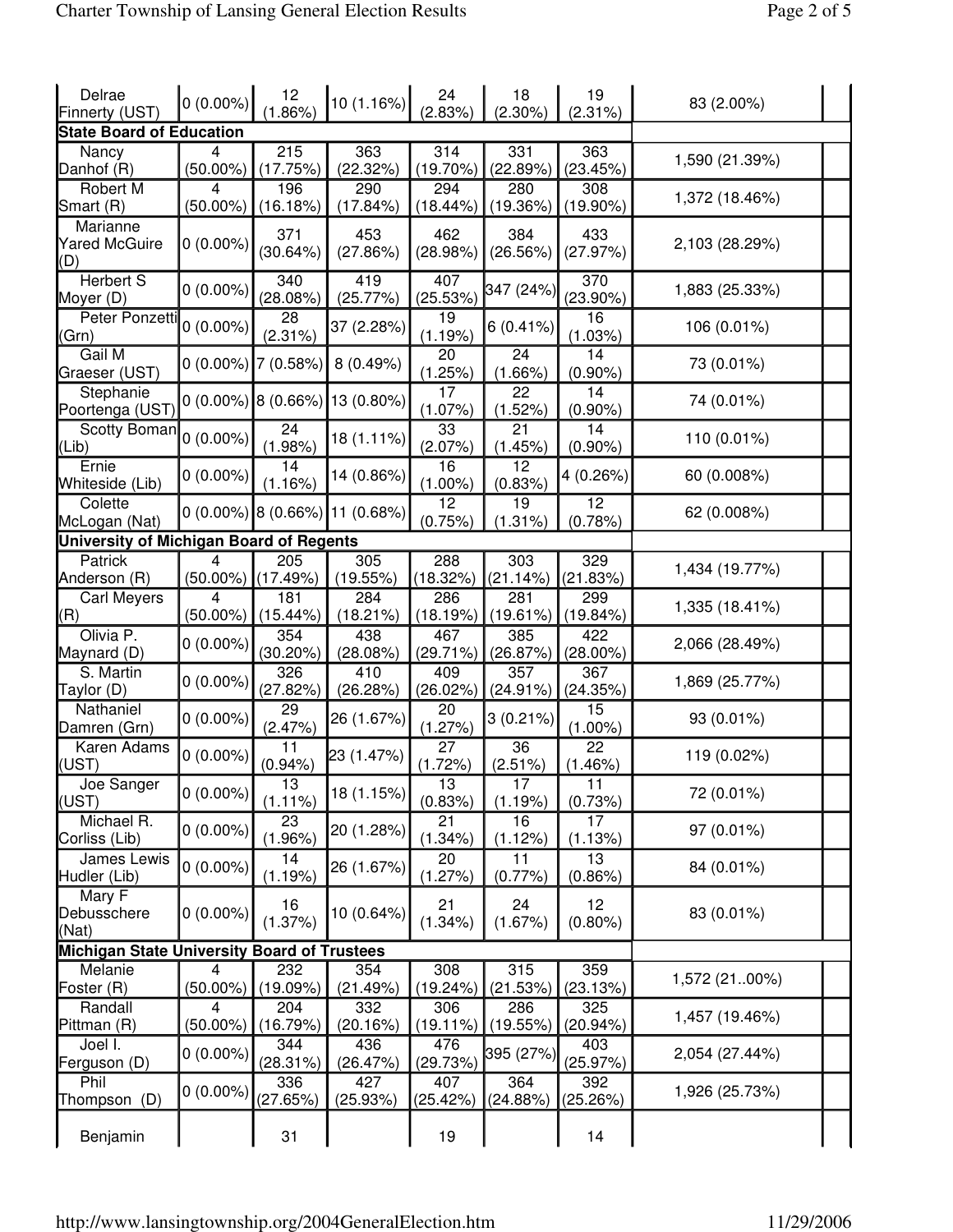| Delrae<br>Finnerty (UST)                           | $0(0.00\%)$      | 12<br>1.86%           | 10 (1.16%)                               | 24<br>(2.83%)      | 18<br>$(2.30\%)$   | 19<br>(2.31%)      | 83 (2.00%)     |  |
|----------------------------------------------------|------------------|-----------------------|------------------------------------------|--------------------|--------------------|--------------------|----------------|--|
| <b>State Board of Education</b>                    |                  |                       |                                          |                    |                    |                    |                |  |
| Nancy<br>Danhof (R)                                | 4<br>$(50.00\%)$ | 215<br>(17.75%)       | 363<br>(22.32%)                          | 314<br>$(19.70\%)$ | 331<br>(22.89%)    | 363<br>(23.45%)    | 1,590 (21.39%) |  |
| Robert M<br>Smart (R)                              | 4<br>$(50.00\%)$ | 196<br>(16.18%)       | 290<br>$(17.84\%)$                       | 294<br>(18.44%)    | 280<br>(19.36%)    | 308<br>$(19.90\%)$ | 1,372 (18.46%) |  |
| <b>Marianne</b><br><b>Yared McGuire</b><br>(D)     | $0(0.00\%)$      | 371<br>(30.64%)       | 453<br>(27.86%)                          | 462<br>(28.98%)    | 384<br>(26.56%)    | 433<br>(27.97%)    | 2,103 (28.29%) |  |
| <b>Herbert S</b><br>Moyer (D)                      | $0(0.00\%)$      | 340<br>(28.08%)       | 419<br>(25.77%)                          | 407<br>(25.53%)    | 347 (24%)          | 370<br>$(23.90\%)$ | 1,883 (25.33%) |  |
| Peter Ponzetti<br>(Grn)                            | $0(0.00\%)$      | 28<br>$(2.31\%)$      | 37 (2.28%)                               | 19<br>(1.19%)      | 6(0.41%)           | 16<br>(1.03%)      | 106 (0.01%)    |  |
| Gail M<br>Graeser (UST)                            |                  | $0(0.00\%)$ 7 (0.58%) | 8(0.49%)                                 | 20<br>(1.25%)      | 24<br>$(1.66\%)$   | 14<br>$(0.90\%)$   | 73 (0.01%)     |  |
| Stephanie<br>Poortenga (UST)                       |                  |                       | $0(0.00\%)$ 8 (0.66%) 13 (0.80%)         | 17<br>$(1.07\%)$   | 22<br>(1.52%)      | 14<br>$(0.90\%)$   | 74 (0.01%)     |  |
| Scotty Boman<br>(Lib)                              | $0(0.00\%)$      | 24<br>$(1.98\%)$      | 18 (1.11%)                               | 33<br>(2.07%)      | 21<br>(1.45%)      | 14<br>$(0.90\%)$   | 110 (0.01%)    |  |
| Ernie<br>Whiteside (Lib)                           | $0(0.00\%)$      | 14<br>(1.16%)         | 14 (0.86%)                               | 16<br>$(1.00\%)$   | 12<br>(0.83%)      | 4 (0.26%)          | 60 (0.008%)    |  |
| Colette<br>McLogan (Nat)                           |                  |                       | $0(0.00\%)$  8 $(0.66\%)$  11 $(0.68\%)$ | 12<br>(0.75%)      | 19<br>(1.31%)      | 12<br>(0.78%)      | 62 (0.008%)    |  |
| University of Michigan Board of Regents            |                  |                       |                                          |                    |                    |                    |                |  |
| Patrick<br>Anderson (R)                            | 4<br>$(50.00\%)$ | 205<br>(17.49%)       | 305<br>(19.55%)                          | 288<br>(18.32%)    | 303<br>(21.14%)    | 329<br>(21.83%)    | 1,434 (19.77%) |  |
| <b>Carl Meyers</b><br>(R)                          | 4<br>$(50.00\%)$ | 181<br>$(15.44\%)$    | 284<br>$(18.21\%)$                       | 286<br>(18.19%)    | 281<br>(19.61%)    | 299<br>(19.84%)    | 1,335 (18.41%) |  |
| Olivia P.<br>Maynard (D)                           | $0(0.00\%)$      | 354<br>$(30.20\%)$    | 438<br>$(28.08\%)$                       | 467<br>(29.71%)    | 385<br>(26.87%)    | 422<br>$(28.00\%)$ | 2,066 (28.49%) |  |
| S. Martin<br>Taylor (D)                            | $0(0.00\%)$      | 326<br>(27.82%)       | 410<br>(26.28%)                          | 409<br>(26.02%)    | 357<br>(24.91%)    | 367<br>(24.35%)    | 1,869 (25.77%) |  |
| Nathaniel<br>Damren (Grn)                          | $0(0.00\%)$      | 29<br>(2.47%)         | 26 (1.67%)                               | 20<br>(1.27%)      | $3(0.21\%)$        | 15<br>$(1.00\%)$   | 93 (0.01%)     |  |
| Karen Adams<br>(UST)                               | $0(0.00\%)$      | 11<br>$(0.94\%)$      | 23 (1.47%)                               | 27<br>(1.72%)      | 36<br>(2.51%)      | 22<br>(1.46%)      | 119 (0.02%)    |  |
| Joe Sanger<br>(UST)                                | $0(0.00\%)$      | 13<br>$(1.11\%)$      | 18 (1.15%)                               | 13<br>(0.83%)      | 17<br>(1.19%)      | 11<br>(0.73%)      | 72 (0.01%)     |  |
| Michael R.<br>Corliss (Lib)                        | $0(0.00\%)$      | 23<br>$(1.96\%)$      | 20 (1.28%)                               | 21<br>(1.34%)      | 16<br>(1.12%)      | 17<br>(1.13%)      | 97 (0.01%)     |  |
| James Lewis<br>Hudler (Lib)                        | $0(0.00\%)$      | 14<br>(1.19%)         | 26 (1.67%)                               | 20<br>(1.27%)      | 11<br>$(0.77\%)$   | 13<br>$(0.86\%)$   | 84 (0.01%)     |  |
| Mary F<br>Debusschere<br>(Nat)                     | $0(0.00\%)$      | 16<br>(1.37%)         | 10 (0.64%)                               | 21<br>$(1.34\%)$   | 24<br>(1.67%)      | 12<br>$(0.80\%)$   | 83 (0.01%)     |  |
| <b>Michigan State University Board of Trustees</b> |                  |                       |                                          |                    |                    |                    |                |  |
| Melanie<br>Foster (R)                              | 4<br>$(50.00\%)$ | 232<br>(19.09%)       | 354<br>(21.49%)                          | 308<br>(19.24%)    | 315<br>(21.53%)    | 359<br>(23.13%)    | 1,572 (2100%)  |  |
| Randall<br>Pittman (R)                             | 4<br>$(50.00\%)$ | 204<br>(16.79%)       | 332<br>(20.16%)                          | 306<br>(19.11%)    | 286<br>(19.55%)    | 325<br>(20.94%)    | 1,457 (19.46%) |  |
| Joel I.<br>Ferguson (D)                            | $0(0.00\%)$      | 344<br>(28.31%)       | 436<br>(26.47%)                          | 476<br>(29.73%)    | 395 (27%)          | 403<br>(25.97%)    | 2,054 (27.44%) |  |
| Phil<br>Thompson (D)                               | $0(0.00\%)$      | 336<br>(27.65%)       | 427<br>(25.93%)                          | 407<br>(25.42%)    | 364<br>$(24.88\%)$ | 392<br>(25.26%)    | 1,926 (25.73%) |  |
| Benjamin                                           |                  | 31                    |                                          | 19                 |                    | 14                 |                |  |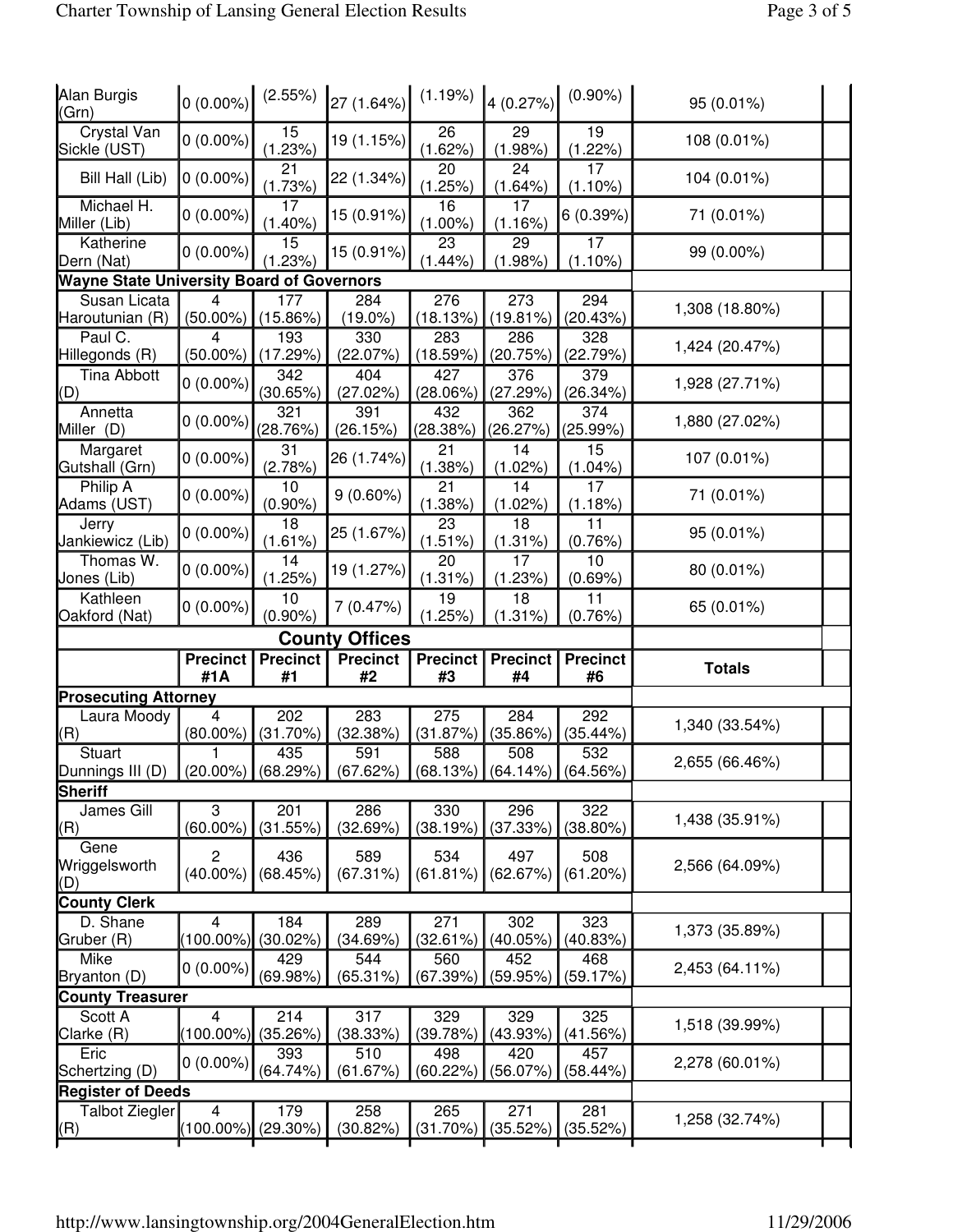| Alan Burgis<br>(Grn)                              | $0(0.00\%)$                   | (2.55%)               | 27 (1.64%)            | (1.19%)               | 4(0.27%)                                                                   | $(0.90\%)$                   | 95 (0.01%)     |  |
|---------------------------------------------------|-------------------------------|-----------------------|-----------------------|-----------------------|----------------------------------------------------------------------------|------------------------------|----------------|--|
| <b>Crystal Van</b><br>Sickle (UST)                | $0(0.00\%)$                   | 15<br>(1.23%)         | 19 (1.15%)            | 26<br>(1.62%)         | 29<br>$(1.98\%)$                                                           | 19<br>(1.22%)                | 108 (0.01%)    |  |
| Bill Hall (Lib)                                   | $0(0.00\%)$                   | 21<br>(1.73%)         | 22 (1.34%)            | 20<br>(1.25%)         | 24<br>(1.64%                                                               | 17<br>$(1.10\%)$             | 104 (0.01%)    |  |
| Michael H.<br>Miller (Lib)                        | $0(0.00\%)$                   | 17<br>$(1.40\%)$      | 15 (0.91%)            | 16<br>$(1.00\%)$      | 17<br>(1.16%)                                                              | 6(0.39%)                     | 71 (0.01%)     |  |
| Katherine<br>Dern (Nat)                           | $0(0.00\%)$                   | 15<br>(1.23%)         | 15 (0.91%)            | 23<br>$(1.44\%)$      | 29<br>(1.98%                                                               | 17<br>$(1.10\%)$             | 99 (0.00%)     |  |
| <b>Wayne State University Board of Governors</b>  |                               |                       |                       |                       |                                                                            |                              |                |  |
| Susan Licata<br>Haroutunian (R)                   | 4<br>$(50.00\%)$              | 177<br>(15.86%)       | 284<br>$(19.0\%)$     | 276<br>(18.13%)       | 273<br>(19.81%)                                                            | 294<br>(20.43%)              | 1,308 (18.80%) |  |
| Paul C.<br>Hillegonds (R)                         | 4<br>$(50.00\%)$              | 193<br>(17.29%)       | 330<br>$(22.07\%)$    | 283<br>(18.59%)       | 286<br>(20.75%)                                                            | 328<br>(22.79%)              | 1,424 (20.47%) |  |
| <b>Tina Abbott</b><br>(D)                         | $0(0.00\%)$                   | 342<br>(30.65%)       | 404<br>$(27.02\%)$    | 427<br>$(28.06\%)$    | 376<br>(27.29%)                                                            | 379<br>(26.34%)              | 1,928 (27.71%) |  |
| Annetta<br>Miller (D)                             | $0(0.00\%)$                   | 321<br>(28.76%)       | 391<br>(26.15%)       | 432<br>$(28.38\%)$    | 362<br>(26.27%)                                                            | 374<br>(25.99%)              | 1,880 (27.02%) |  |
| Margaret<br>Gutshall (Grn)                        | $0(0.00\%)$                   | 31<br>(2.78%)         | 26 (1.74%)            | 21<br>(1.38%)         | 14<br>$(1.02\%)$                                                           | 15<br>$(1.04\%)$             | 107 (0.01%)    |  |
| Philip A<br>Adams (UST)                           | $0(0.00\%)$                   | 10<br>$(0.90\%)$      | $9(0.60\%)$           | 21<br>(1.38%)         | 14<br>(1.02%)                                                              | 17<br>(1.18%)                | 71 (0.01%)     |  |
| Jerry<br>Jankiewicz (Lib)                         | $0(0.00\%)$                   | 18<br>(1.61%)         | 25 (1.67%)            | 23<br>(1.51%)         | 18<br>(1.31%)                                                              | 11<br>(0.76%)                | 95 (0.01%)     |  |
| Thomas W.<br>Jones (Lib)                          | $0(0.00\%)$                   | 14<br>(1.25%)         | 19 (1.27%)            | 20<br>(1.31%)         | 17<br>(1.23%)                                                              | 10<br>(0.69%)                | 80 (0.01%)     |  |
| Kathleen<br>Oakford (Nat)                         | $0(0.00\%)$                   | 10<br>$(0.90\%)$      | 7(0.47%)              | 19<br>(1.25%)         | 18<br>(1.31%)                                                              | 11<br>(0.76%)                | 65 (0.01%)     |  |
|                                                   |                               |                       | <b>County Offices</b> |                       |                                                                            |                              |                |  |
|                                                   |                               |                       |                       |                       |                                                                            |                              |                |  |
|                                                   | <b>Precinct</b><br>#1A        | <b>Precinct</b><br>#1 | <b>Precinct</b><br>#2 | <b>Precinct</b><br>#3 | <b>Precinct</b><br>#4                                                      | <b>Precinct</b><br>#6        | <b>Totals</b>  |  |
|                                                   |                               |                       |                       |                       |                                                                            |                              |                |  |
| <b>Prosecuting Attorney</b><br>Laura Moody<br>(R) | 4<br>$(80.00\%)$              | 202<br>(31.70%)       | 283<br>(32.38%)       | 275<br>(31.87%)       | 284<br>(35.86%)                                                            | $\overline{292}$<br>(35.44%) | 1,340 (33.54%) |  |
| Stuart<br>Dunnings III (D)                        | $ (20.00\%) $ (68.29%)        | 435                   | 591<br>(67.62%)       | 588                   | 508<br>$\left(68.13\% \right) \left(64.14\% \right) \left(64.56\% \right)$ | 532                          | 2,655 (66.46%) |  |
| Sheriff                                           |                               |                       |                       |                       |                                                                            |                              |                |  |
| James Gill<br>(R)                                 | 3<br>$(60.00\%)$              | 201<br>(31.55%)       | 286<br>(32.69%)       | 330<br>(38.19%)       | 296<br>(37.33%)                                                            | 322<br>$(38.80\%)$           | 1,438 (35.91%) |  |
| Gene<br>Wriggelsworth<br>(D)                      | $\overline{c}$<br>$(40.00\%)$ | 436<br>(68.45%)       | 589<br>(67.31%)       | 534<br>(61.81%)       | 497<br>(62.67%)                                                            | 508<br>(61.20%)              | 2,566 (64.09%) |  |
| <b>County Clerk</b>                               |                               |                       |                       |                       |                                                                            |                              |                |  |
| D. Shane<br>Gruber (R)                            | 4<br>$(100.00\%)$             | 184<br>(30.02%)       | 289<br>(34.69%)       | 271<br>(32.61%)       | 302<br>(40.05%)                                                            | 323<br>(40.83%)              | 1,373 (35.89%) |  |
| Mike<br>Bryanton (D)                              | $0(0.00\%)$                   | 429<br>(69.98%)       | 544<br>$(65.31\%)$    | 560<br>(67.39%)       | 452<br>(59.95%                                                             | 468<br>(59.17%)              | 2,453 (64.11%) |  |
| <b>County Treasurer</b>                           |                               |                       |                       |                       |                                                                            |                              |                |  |
| Scott A<br>Clarke (R)                             | 4<br>$(100.00\%)$             | 214<br>(35.26%)       | 317<br>(38.33%)       | 329<br>(39.78%)       | 329<br>(43.93%)                                                            | 325<br>(41.56%)              | 1,518 (39.99%) |  |
| Eric<br>Schertzing (D)                            | $0(0.00\%)$                   | 393<br>(64.74%)       | 510<br>$(61.67\%)$    | 498<br>(60.22%)       | 420<br>(56.07%                                                             | 457<br>(58.44%)              | 2,278 (60.01%) |  |
| <b>Register of Deeds</b>                          |                               |                       |                       |                       |                                                                            |                              |                |  |
| <b>Talbot Ziegler</b><br>(R)                      | 4<br>$(100.00\%)$             | 179<br>$(29.30\%)$    | 258<br>(30.82%)       | 265<br>(31.70%)       | 271<br>(35.52%)                                                            | 281<br>(35.52%)              | 1,258 (32.74%) |  |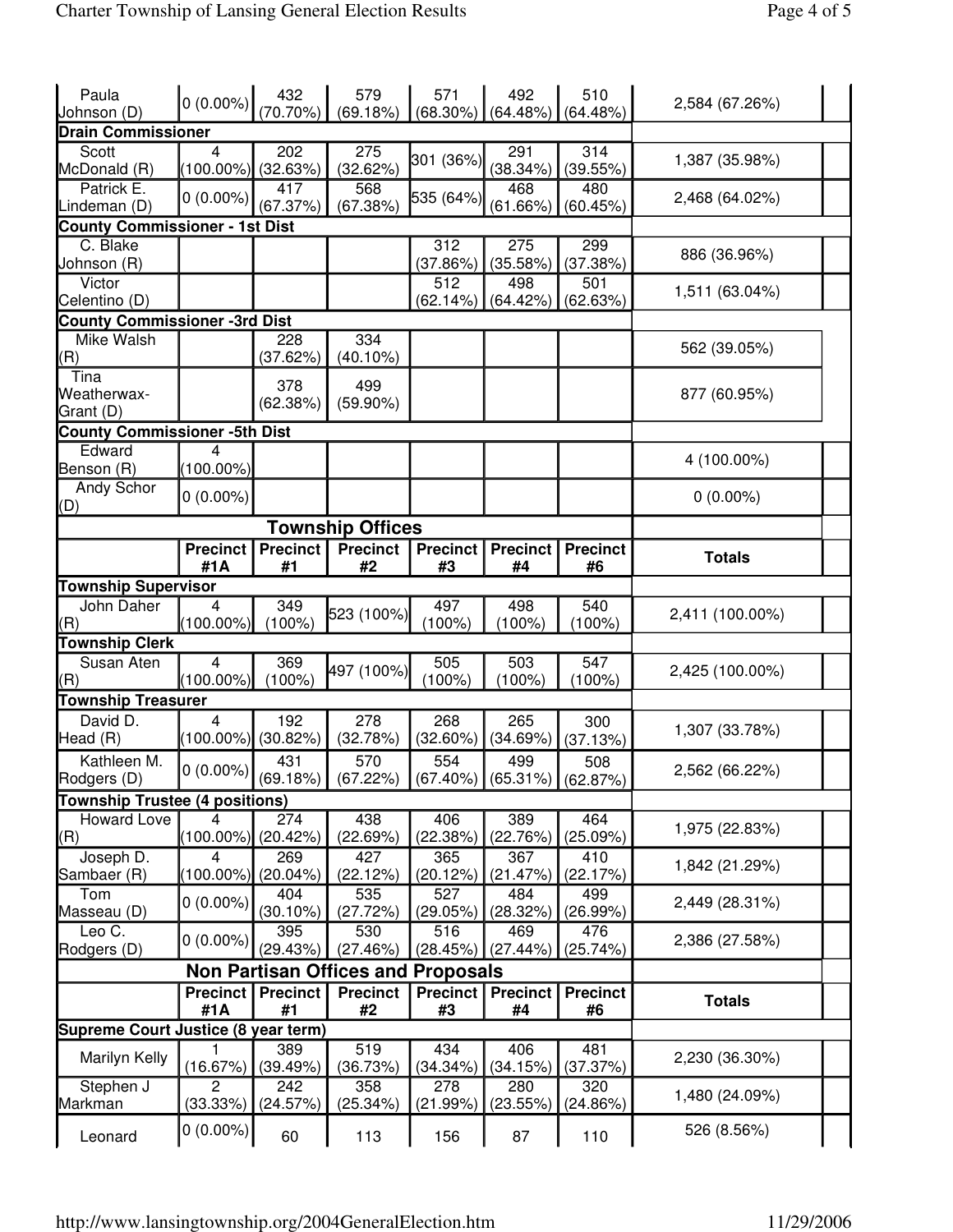| Paula                                 | $\left 0\right\rangle(0.00\%) \left \frac{432}{(70.70\%)}\right $ |                 | 579<br>(69.18%)                           | 571                                  | 492             | 510             | 2,584 (67.26%)  |  |
|---------------------------------------|-------------------------------------------------------------------|-----------------|-------------------------------------------|--------------------------------------|-----------------|-----------------|-----------------|--|
| Johnson (D)                           |                                                                   |                 |                                           | $(68.30\%)$                          | (64.48%)        | (64.48%)        |                 |  |
| <b>Drain Commissioner</b>             |                                                                   |                 |                                           |                                      |                 |                 |                 |  |
| Scott<br>McDonald (R)                 | 4<br>(100.00%) (32.63%)                                           | 202             | 275<br>(32.62%)                           | 301 (36%)                            | 291<br>(38.34%) | 314<br>(39.55%) | 1,387 (35.98%)  |  |
| Patrick E.                            | $0(0.00\%)$                                                       | 417             | 568                                       |                                      | 468             | 480             |                 |  |
| Lindeman (D)                          |                                                                   | (67.37%)        | (67.38%)                                  | 535 (64%)                            | $(61.66\%)$     | (60.45%)        | 2,468 (64.02%)  |  |
| <b>County Commissioner - 1st Dist</b> |                                                                   |                 |                                           |                                      |                 |                 |                 |  |
| C. Blake                              |                                                                   |                 |                                           | 312                                  | 275             | 299             |                 |  |
| Johnson (R)                           |                                                                   |                 |                                           | (37.86%)                             | (35.58%)        | (37.38%)        | 886 (36.96%)    |  |
| Victor<br>Celentino (D)               |                                                                   |                 |                                           | 512<br>(62.14%)                      | 498<br>(64.42%  | 501<br>(62.63%) | 1,511 (63.04%)  |  |
| <b>County Commissioner -3rd Dist</b>  |                                                                   |                 |                                           |                                      |                 |                 |                 |  |
| Mike Walsh                            |                                                                   | 228             | 334                                       |                                      |                 |                 |                 |  |
| (R)                                   |                                                                   | (37.62%)        | $(40.10\%)$                               |                                      |                 |                 | 562 (39.05%)    |  |
| Tina<br>Weatherwax-                   |                                                                   | 378             | 499                                       |                                      |                 |                 |                 |  |
| Grant (D)                             |                                                                   | (62.38%)        | $(59.90\%)$                               |                                      |                 |                 | 877 (60.95%)    |  |
|                                       |                                                                   |                 |                                           |                                      |                 |                 |                 |  |
| <b>County Commissioner -5th Dist</b>  |                                                                   |                 |                                           |                                      |                 |                 |                 |  |
| Edward<br>Benson (R)                  | 4<br>$(100.00\%)$                                                 |                 |                                           |                                      |                 |                 | 4 (100.00%)     |  |
| Andy Schor<br>(D)                     | $0(0.00\%)$                                                       |                 |                                           |                                      |                 |                 | $0(0.00\%)$     |  |
|                                       |                                                                   |                 | <b>Township Offices</b>                   |                                      |                 |                 |                 |  |
|                                       | <b>Precinct</b>                                                   | <b>Precinct</b> | <b>Precinct</b>                           | <b>Precinct</b>                      | <b>Precinct</b> | <b>Precinct</b> |                 |  |
|                                       | #1A                                                               | #1              | #2                                        | #3                                   | #4              | #6              | <b>Totals</b>   |  |
| <b>Township Supervisor</b>            |                                                                   |                 |                                           |                                      |                 |                 |                 |  |
| John Daher                            | 4                                                                 | 349             |                                           | 497                                  | 498             | 540             |                 |  |
| (R)                                   | $(100.00\%)$                                                      | $(100\%)$       | 523 (100%)                                | 100%                                 | (100%)          | (100%)          | 2,411 (100.00%) |  |
| <b>Township Clerk</b>                 |                                                                   |                 |                                           |                                      |                 |                 |                 |  |
| Susan Aten                            | 4                                                                 | 369             |                                           | 505                                  | 503             | 547             |                 |  |
| (R)                                   | $(100.00\%)$                                                      | $(100\%)$       | 497 (100%)                                | $(100\%)$                            | (100%)          | (100%)          | 2,425 (100.00%) |  |
| <b>Township Treasurer</b>             |                                                                   |                 |                                           |                                      |                 |                 |                 |  |
| David D.                              |                                                                   | 192             |                                           |                                      |                 |                 |                 |  |
| Head (R)                              | 4<br>$(100.00\%)$                                                 | (30.82%)        | 278<br>(32.78%)                           | 268<br>$(32.60\%)$                   | 265<br>(34.69%) | 300<br>(37.13%) | 1,307 (33.78%)  |  |
| Kathleen M.                           |                                                                   | 431             | 570                                       | 554                                  | 499             | 508             |                 |  |
| Rodgers (D)                           | $\vert 0\> (0.00\%)$                                              | $(69.18\%)$     | (67.22%)                                  | $ (67.40\%) $ (65.31%) $ (62.87\%) $ |                 |                 | 2,562 (66.22%)  |  |
| <b>Township Trustee (4 positions)</b> |                                                                   |                 |                                           |                                      |                 |                 |                 |  |
| Howard Love                           | 4                                                                 | 274             | 438                                       | 406                                  | 389             | 464             |                 |  |
| (R)                                   | $(100.00\%)$                                                      | (20.42%)        | (22.69%)                                  | (22.38%)                             | (22.76%)        | (25.09%)        | 1,975 (22.83%)  |  |
| Joseph D.                             | 4                                                                 | 269             | 427                                       | 365                                  | 367             | 410             |                 |  |
| Sambaer (R)                           | $(100.00\%)$                                                      | (20.04%)        | (22.12%)                                  | (20.12%)                             | (21.47%)        | (22.17%)        | 1,842 (21.29%)  |  |
| Tom                                   |                                                                   | 404             | 535                                       | 527                                  | 484             | 499             |                 |  |
| Masseau (D)                           | $0(0.00\%)$                                                       | $(30.10\%)$     | (27.72%)                                  | (29.05%)                             | (28.32%)        | (26.99%)        | 2,449 (28.31%)  |  |
| Leo C.                                |                                                                   | 395             | 530                                       | 516                                  | 469             | 476             |                 |  |
| Rodgers (D)                           | $0(0.00\%)$                                                       | (29.43%)        | (27.46%)                                  | (28.45%)                             | (27.44%         | (25.74%)        | 2,386 (27.58%)  |  |
|                                       |                                                                   |                 | <b>Non Partisan Offices and Proposals</b> |                                      |                 |                 |                 |  |
|                                       |                                                                   |                 |                                           |                                      | <b>Precinct</b> | <b>Precinct</b> |                 |  |
|                                       |                                                                   |                 |                                           |                                      |                 |                 |                 |  |
|                                       | Precinct                                                          | <b>Precinct</b> | <b>Precinct</b>                           | <b>Precinct</b>                      |                 |                 | <b>Totals</b>   |  |
|                                       | #1A                                                               | #1              | #2                                        | #3                                   | #4              | #6              |                 |  |
| Supreme Court Justice (8 year term)   |                                                                   |                 |                                           |                                      |                 |                 |                 |  |
| Marilyn Kelly                         |                                                                   | 389             | 519                                       | 434                                  | 406             | 481             | 2,230 (36.30%)  |  |
|                                       | (16.67%)                                                          | (39.49%)        | (36.73%)                                  | (34.34%)                             | (34.15%)        | (37.37%)        |                 |  |
| Stephen J<br>Markman                  | 2<br>(33.33%)                                                     | 242<br>(24.57%) | 358<br>(25.34%)                           | 278<br>(21.99%)                      | 280<br>(23.55%) | 320<br>(24.86%) | 1,480 (24.09%)  |  |